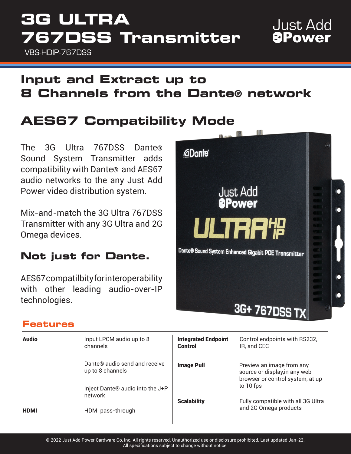# **3G ULTRA 767DSS Transmitter**

VBS-HDIP-767DSS

## **Input and Extract up to 8 Channels from the Dante® network**

## **AES67 Compatibility Mode**

The 3G Ultra 767DSS Dante® Sound System Transmitter adds compatibility with Dante® and AES67 audio networks to the any Just Add Power video distribution system.

Mix-and-match the 3G Ultra 767DSS Transmitter with any 3G Ultra and 2G Omega devices.

### **Not just for Dante.**

AES67 compatilbity for interoperability with other leading audio-over-IP technologies.



#### **Features**

| <b>Audio</b> | Input LPCM audio up to 8<br>channels              | <b>Integrated Endpoint</b><br>Control   | Control endpoints with RS232,<br>IR, and CEC                                                                                                                               |
|--------------|---------------------------------------------------|-----------------------------------------|----------------------------------------------------------------------------------------------------------------------------------------------------------------------------|
| <b>HDMI</b>  | Dante® audio send and receive<br>up to 8 channels | <b>Image Pull</b><br><b>Scalability</b> | Preview an image from any<br>source or display, in any web<br>browser or control system, at up<br>to 10 fps<br>Fully compatible with all 3G Ultra<br>and 2G Omega products |
|              | Inject Dante® audio into the J+P<br>network       |                                         |                                                                                                                                                                            |
|              | HDMI pass-through                                 |                                         |                                                                                                                                                                            |